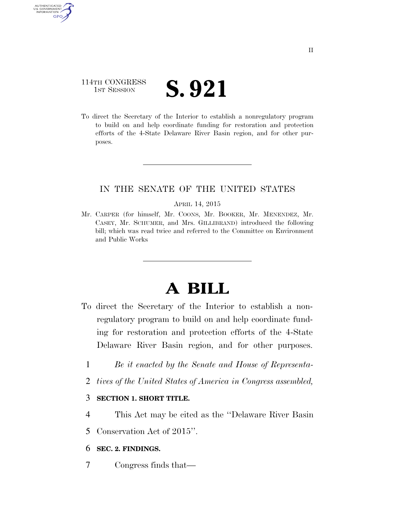# 114TH CONGRESS TH CONGRESS **S. 921**

AUTHENTICATED U.S. GOVERNMENT GPO

> To direct the Secretary of the Interior to establish a nonregulatory program to build on and help coordinate funding for restoration and protection efforts of the 4-State Delaware River Basin region, and for other purposes.

### IN THE SENATE OF THE UNITED STATES

#### APRIL 14, 2015

Mr. CARPER (for himself, Mr. COONS, Mr. BOOKER, Mr. MENENDEZ, Mr. CASEY, Mr. SCHUMER, and Mrs. GILLIBRAND) introduced the following bill; which was read twice and referred to the Committee on Environment and Public Works

# **A BILL**

- To direct the Secretary of the Interior to establish a nonregulatory program to build on and help coordinate funding for restoration and protection efforts of the 4-State Delaware River Basin region, and for other purposes.
	- 1 *Be it enacted by the Senate and House of Representa-*
	- 2 *tives of the United States of America in Congress assembled,*

#### 3 **SECTION 1. SHORT TITLE.**

4 This Act may be cited as the ''Delaware River Basin

5 Conservation Act of 2015''.

#### 6 **SEC. 2. FINDINGS.**

7 Congress finds that—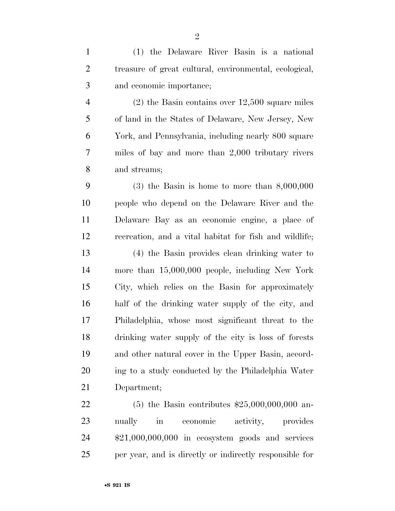| $\mathbf{1}$   | (1) the Delaware River Basin is a national             |
|----------------|--------------------------------------------------------|
| $\overline{2}$ | treasure of great cultural, environmental, ecological, |
| 3              | and economic importance;                               |
| $\overline{4}$ | $(2)$ the Basin contains over 12,500 square miles      |
| 5              | of land in the States of Delaware, New Jersey, New     |
| 6              | York, and Pennsylvania, including nearly 800 square    |
| $\overline{7}$ | miles of bay and more than 2,000 tributary rivers      |
| $8\phantom{1}$ | and streams;                                           |
| 9              | $(3)$ the Basin is home to more than $8,000,000$       |
| 10             | people who depend on the Delaware River and the        |
| 11             | Delaware Bay as an economic engine, a place of         |
| 12             | recreation, and a vital habitat for fish and wildlife; |
| 13             | (4) the Basin provides clean drinking water to         |
| 14             | more than $15,000,000$ people, including New York      |
| 15             | City, which relies on the Basin for approximately      |
| 16             | half of the drinking water supply of the city, and     |
| 17             | Philadelphia, whose most significant threat to the     |
| 18             | drinking water supply of the city is loss of forests   |
| 19             | and other natural cover in the Upper Basin, accord-    |
| 20             | ing to a study conducted by the Philadelphia Water     |
| 21             | Department;                                            |
| 22             | (5) the Basin contributes $$25,000,000,000$ an-        |
| 23             | activity, provides<br>nually<br>in economic            |
| 24             | $$21,000,000,000$ in ecosystem goods and services      |

per year, and is directly or indirectly responsible for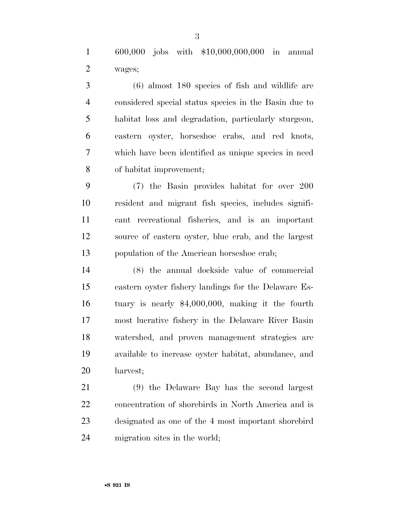600,000 jobs with \$10,000,000,000 in annual wages;

 (6) almost 180 species of fish and wildlife are considered special status species in the Basin due to habitat loss and degradation, particularly sturgeon, eastern oyster, horseshoe crabs, and red knots, which have been identified as unique species in need of habitat improvement;

 (7) the Basin provides habitat for over 200 resident and migrant fish species, includes signifi- cant recreational fisheries, and is an important source of eastern oyster, blue crab, and the largest population of the American horseshoe crab;

 (8) the annual dockside value of commercial eastern oyster fishery landings for the Delaware Es- tuary is nearly \$4,000,000, making it the fourth most lucrative fishery in the Delaware River Basin watershed, and proven management strategies are available to increase oyster habitat, abundance, and harvest;

 (9) the Delaware Bay has the second largest concentration of shorebirds in North America and is designated as one of the 4 most important shorebird migration sites in the world;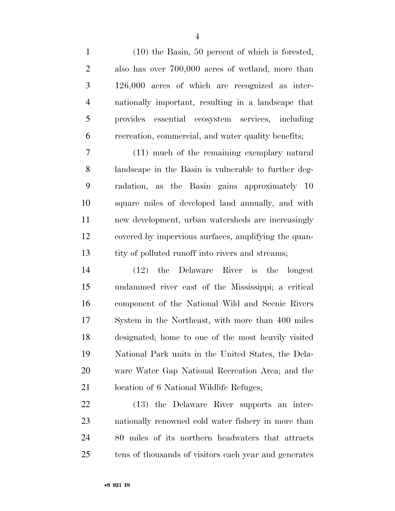(10) the Basin, 50 percent of which is forested, also has over 700,000 acres of wetland, more than 126,000 acres of which are recognized as inter- nationally important, resulting in a landscape that provides essential ecosystem services, including recreation, commercial, and water quality benefits;

 (11) much of the remaining exemplary natural landscape in the Basin is vulnerable to further deg- radation, as the Basin gains approximately 10 square miles of developed land annually, and with new development, urban watersheds are increasingly covered by impervious surfaces, amplifying the quan-13 tity of polluted runoff into rivers and streams;

 (12) the Delaware River is the longest undammed river east of the Mississippi; a critical component of the National Wild and Scenic Rivers System in the Northeast, with more than 400 miles designated; home to one of the most heavily visited National Park units in the United States, the Dela- ware Water Gap National Recreation Area; and the 21 location of 6 National Wildlife Refuges;

 (13) the Delaware River supports an inter- nationally renowned cold water fishery in more than 80 miles of its northern headwaters that attracts tens of thousands of visitors each year and generates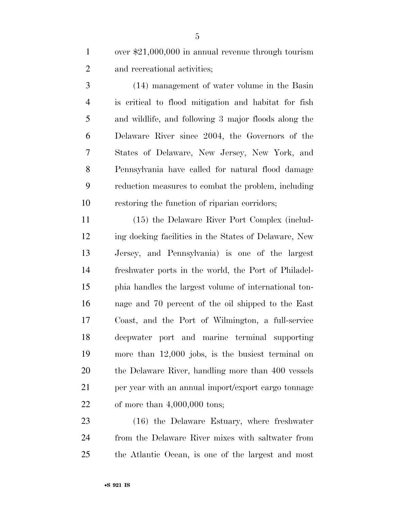1 over \$21,000,000 in annual revenue through tourism and recreational activities;

 (14) management of water volume in the Basin is critical to flood mitigation and habitat for fish and wildlife, and following 3 major floods along the Delaware River since 2004, the Governors of the States of Delaware, New Jersey, New York, and Pennsylvania have called for natural flood damage reduction measures to combat the problem, including restoring the function of riparian corridors;

 (15) the Delaware River Port Complex (includ- ing docking facilities in the States of Delaware, New Jersey, and Pennsylvania) is one of the largest freshwater ports in the world, the Port of Philadel- phia handles the largest volume of international ton- nage and 70 percent of the oil shipped to the East Coast, and the Port of Wilmington, a full-service deepwater port and marine terminal supporting more than 12,000 jobs, is the busiest terminal on the Delaware River, handling more than 400 vessels per year with an annual import/export cargo tonnage of more than 4,000,000 tons;

 (16) the Delaware Estuary, where freshwater from the Delaware River mixes with saltwater from the Atlantic Ocean, is one of the largest and most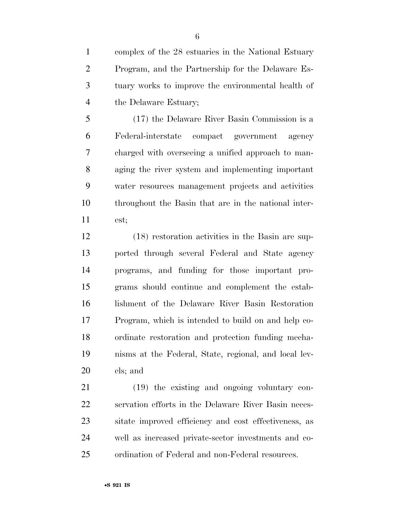complex of the 28 estuaries in the National Estuary Program, and the Partnership for the Delaware Es- tuary works to improve the environmental health of the Delaware Estuary;

 (17) the Delaware River Basin Commission is a Federal-interstate compact government agency charged with overseeing a unified approach to man- aging the river system and implementing important water resources management projects and activities throughout the Basin that are in the national inter-est;

 (18) restoration activities in the Basin are sup- ported through several Federal and State agency programs, and funding for those important pro- grams should continue and complement the estab- lishment of the Delaware River Basin Restoration Program, which is intended to build on and help co- ordinate restoration and protection funding mecha- nisms at the Federal, State, regional, and local lev-els; and

 (19) the existing and ongoing voluntary con- servation efforts in the Delaware River Basin neces- sitate improved efficiency and cost effectiveness, as well as increased private-sector investments and co-ordination of Federal and non-Federal resources.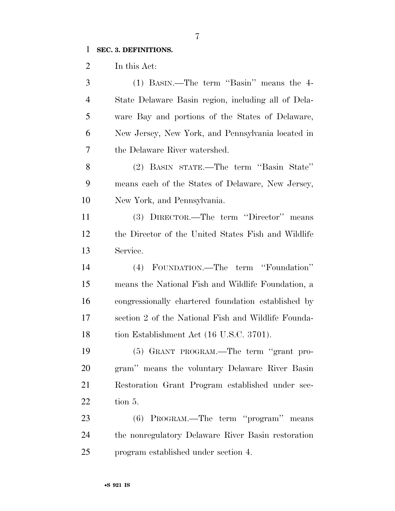## **SEC. 3. DEFINITIONS.**

In this Act:

| 3              | (1) BASIN.—The term "Basin" means the 4-            |
|----------------|-----------------------------------------------------|
| $\overline{4}$ | State Delaware Basin region, including all of Dela- |
| 5              | ware Bay and portions of the States of Delaware,    |
| 6              | New Jersey, New York, and Pennsylvania located in   |
| 7              | the Delaware River watershed.                       |
| 8              | (2) BASIN STATE.—The term "Basin State"             |
| 9              | means each of the States of Delaware, New Jersey,   |
| 10             | New York, and Pennsylvania.                         |
| 11             | (3) DIRECTOR.—The term "Director" means             |
| 12             | the Director of the United States Fish and Wildlife |
| 13             | Service.                                            |
| 14             | FOUNDATION.—The term "Foundation"<br>(4)            |
| 15             | means the National Fish and Wildlife Foundation, a  |
| 16             | congressionally chartered foundation established by |
| 17             | section 2 of the National Fish and Wildlife Founda- |
| 18             | tion Establishment Act (16 U.S.C. 3701).            |
| 19             | (5) GRANT PROGRAM.—The term "grant pro-             |
| 20             | gram" means the voluntary Delaware River Basin      |
| 21             | Restoration Grant Program established under sec-    |
| 22             | tion 5.                                             |
| 23             | (6) PROGRAM.—The term "program" means               |
| 24             | the nonregulatory Delaware River Basin restoration  |
| 25             | program established under section 4.                |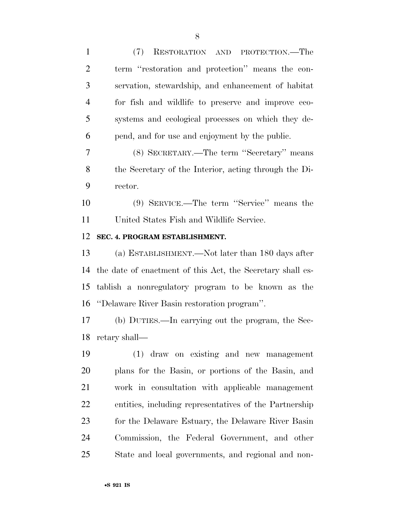| $\mathbf{1}$   | RESTORATION AND PROTECTION.—The<br>(7)                     |
|----------------|------------------------------------------------------------|
| $\overline{2}$ | term "restoration and protection" means the con-           |
| 3              | servation, stewardship, and enhancement of habitat         |
| $\overline{4}$ | for fish and wildlife to preserve and improve eco-         |
| 5              | systems and ecological processes on which they de-         |
| 6              | pend, and for use and enjoyment by the public.             |
| 7              | (8) SECRETARY.—The term "Secretary" means                  |
| 8              | the Secretary of the Interior, acting through the Di-      |
| 9              | rector.                                                    |
| 10             | (9) SERVICE.—The term "Service" means the                  |
| 11             | United States Fish and Wildlife Service.                   |
| 12             | SEC. 4. PROGRAM ESTABLISHMENT.                             |
| 13             | (a) ESTABLISHMENT.—Not later than 180 days after           |
| 14             | the date of enactment of this Act, the Secretary shall es- |
| 15             | tablish a nonregulatory program to be known as the         |
| 16             | "Delaware River Basin restoration program".                |
| 17             | (b) DUTIES.—In carrying out the program, the Sec-          |
|                | 18 retary shall—                                           |
| 19             | (1) draw on existing and new management                    |
| 20             | plans for the Basin, or portions of the Basin, and         |
| 21             | work in consultation with applicable management            |
| 22             | entities, including representatives of the Partnership     |
| 23             | for the Delaware Estuary, the Delaware River Basin         |
| 24             | Commission, the Federal Government, and other              |
| 25             | State and local governments, and regional and non-         |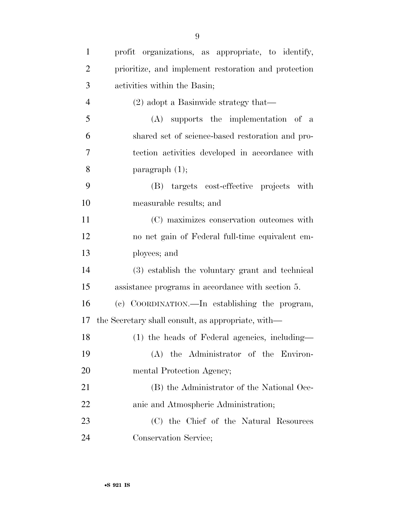| $\mathbf{1}$   | profit organizations, as appropriate, to identify,   |
|----------------|------------------------------------------------------|
| $\overline{2}$ | prioritize, and implement restoration and protection |
| 3              | activities within the Basin;                         |
| $\overline{4}$ | $(2)$ adopt a Basinwide strategy that—               |
| 5              | $(A)$ supports the implementation of a               |
| 6              | shared set of science-based restoration and pro-     |
| 7              | tection activities developed in accordance with      |
| 8              | paragraph $(1)$ ;                                    |
| 9              | (B) targets cost-effective projects with             |
| 10             | measurable results; and                              |
| 11             | (C) maximizes conservation outcomes with             |
| 12             | no net gain of Federal full-time equivalent em-      |
| 13             | ployees; and                                         |
| 14             | (3) establish the voluntary grant and technical      |
| 15             | assistance programs in accordance with section 5.    |
| 16             | (c) COORDINATION.—In establishing the program,       |
| 17             | the Secretary shall consult, as appropriate, with—   |
| 18             | (1) the heads of Federal agencies, including-        |
| 19             | (A) the Administrator of the Environ-                |
| 20             | mental Protection Agency;                            |
| 21             | (B) the Administrator of the National Oce-           |
| <u>22</u>      | anic and Atmospheric Administration;                 |
| 23             | (C) the Chief of the Natural Resources               |
| 24             | Conservation Service;                                |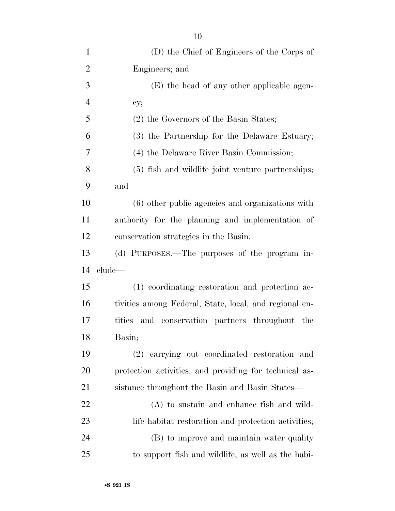| $\mathbf{1}$   | (D) the Chief of Engineers of the Corps of             |
|----------------|--------------------------------------------------------|
| $\overline{2}$ | Engineers; and                                         |
| 3              | (E) the head of any other applicable agen-             |
| $\overline{4}$ | cy;                                                    |
| 5              | (2) the Governors of the Basin States;                 |
| 6              | (3) the Partnership for the Delaware Estuary;          |
| 7              | (4) the Delaware River Basin Commission;               |
| 8              | (5) fish and wildlife joint venture partnerships;      |
| 9              | and                                                    |
| 10             | (6) other public agencies and organizations with       |
| 11             | authority for the planning and implementation of       |
| 12             | conservation strategies in the Basin.                  |
| 13             | (d) PURPOSES.—The purposes of the program in-          |
| 14             | clude—                                                 |
| 15             | (1) coordinating restoration and protection ac-        |
| 16             | tivities among Federal, State, local, and regional en- |
| 17             | tities<br>and conservation partners throughout the     |
| 18             | Basin;                                                 |
| 19             | (2) carrying out coordinated restoration and           |
| 20             | protection activities, and providing for technical as- |
| 21             | sistance throughout the Basin and Basin States—        |
| 22             | $(A)$ to sustain and enhance fish and wild-            |
| 23             | life habitat restoration and protection activities;    |
| 24             | (B) to improve and maintain water quality              |
| 25             | to support fish and wildlife, as well as the habi-     |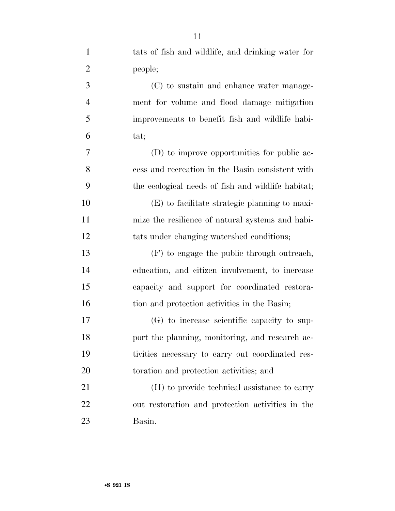| $\mathbf{1}$   | tats of fish and wildlife, and drinking water for  |
|----------------|----------------------------------------------------|
| $\overline{2}$ | people;                                            |
| 3              | (C) to sustain and enhance water manage-           |
| $\overline{4}$ | ment for volume and flood damage mitigation        |
| 5              | improvements to benefit fish and wildlife habi-    |
| 6              | tat;                                               |
| $\tau$         | (D) to improve opportunities for public ac-        |
| 8              | cess and recreation in the Basin consistent with   |
| 9              | the ecological needs of fish and wildlife habitat; |
| 10             | (E) to facilitate strategic planning to maxi-      |
| 11             | mize the resilience of natural systems and habi-   |
| 12             | tats under changing watershed conditions;          |
| 13             | (F) to engage the public through outreach,         |
| 14             | education, and citizen involvement, to increase    |
| 15             | capacity and support for coordinated restora-      |
| 16             | tion and protection activities in the Basin;       |
| 17             | (G) to increase scientific capacity to sup-        |
| 18             | port the planning, monitoring, and research ac-    |
| 19             | tivities necessary to carry out coordinated res-   |
| 20             | toration and protection activities; and            |
| 21             | (H) to provide technical assistance to carry       |
| 22             | out restoration and protection activities in the   |
| 23             | Basin.                                             |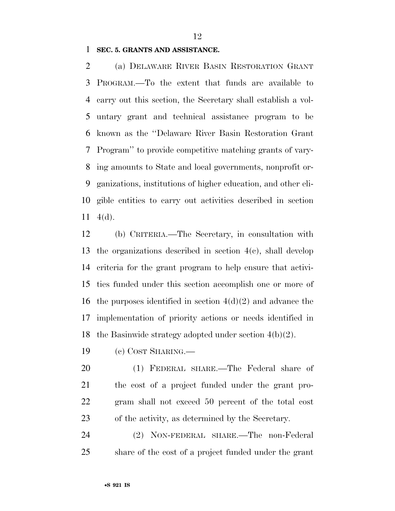**SEC. 5. GRANTS AND ASSISTANCE.** 

 (a) DELAWARE RIVER BASIN RESTORATION GRANT PROGRAM.—To the extent that funds are available to carry out this section, the Secretary shall establish a vol- untary grant and technical assistance program to be known as the ''Delaware River Basin Restoration Grant Program'' to provide competitive matching grants of vary- ing amounts to State and local governments, nonprofit or- ganizations, institutions of higher education, and other eli- gible entities to carry out activities described in section  $11 \quad 4(d)$ .

 (b) CRITERIA.—The Secretary, in consultation with the organizations described in section 4(c), shall develop criteria for the grant program to help ensure that activi- ties funded under this section accomplish one or more of 16 the purposes identified in section  $4(d)(2)$  and advance the implementation of priority actions or needs identified in the Basinwide strategy adopted under section 4(b)(2).

(c) COST SHARING.—

 (1) FEDERAL SHARE.—The Federal share of the cost of a project funded under the grant pro- gram shall not exceed 50 percent of the total cost of the activity, as determined by the Secretary.

 (2) NON-FEDERAL SHARE.—The non-Federal share of the cost of a project funded under the grant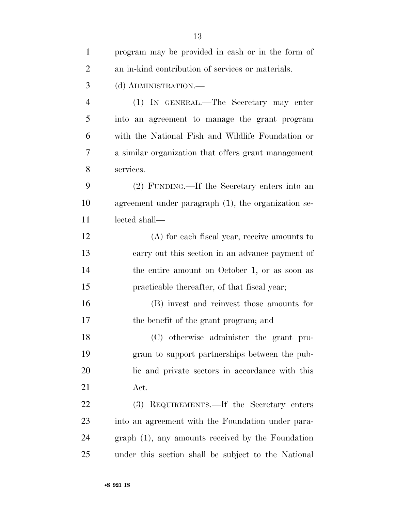| $\mathbf{1}$   | program may be provided in cash or in the form of   |
|----------------|-----------------------------------------------------|
| $\overline{2}$ | an in-kind contribution of services or materials.   |
| 3              | (d) ADMINISTRATION.—                                |
| $\overline{4}$ | (1) IN GENERAL.—The Secretary may enter             |
| 5              | into an agreement to manage the grant program       |
| 6              | with the National Fish and Wildlife Foundation or   |
| 7              | a similar organization that offers grant management |
| 8              | services.                                           |
| 9              | (2) FUNDING.—If the Secretary enters into an        |
| 10             | agreement under paragraph (1), the organization se- |
| 11             | lected shall—                                       |
| 12             | $(A)$ for each fiscal year, receive amounts to      |
| 13             | carry out this section in an advance payment of     |
| 14             | the entire amount on October 1, or as soon as       |
| 15             | practicable thereafter, of that fiscal year;        |
| 16             | (B) invest and reinvest those amounts for           |
| 17             | the benefit of the grant program; and               |
| 18             | (C) otherwise administer the grant pro-             |
| 19             | gram to support partnerships between the pub-       |
| 20             | lic and private sectors in accordance with this     |
| 21             | Act.                                                |
| 22             | (3) REQUIREMENTS.—If the Secretary enters           |
| 23             | into an agreement with the Foundation under para-   |
| 24             | graph (1), any amounts received by the Foundation   |
| 25             | under this section shall be subject to the National |